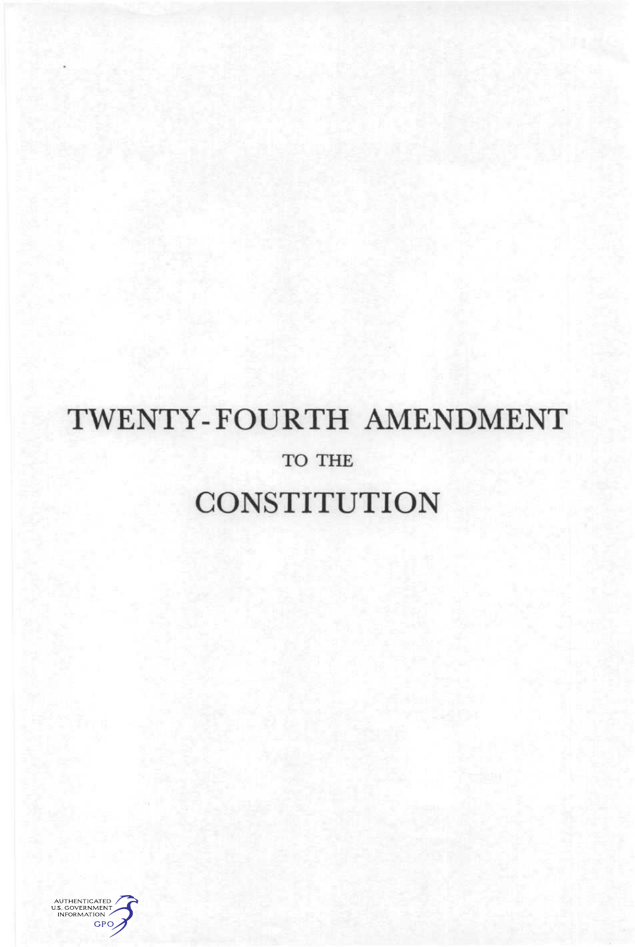# TWENTY- FOURTH AMENDMENT **TO THE CONSTITUTION**

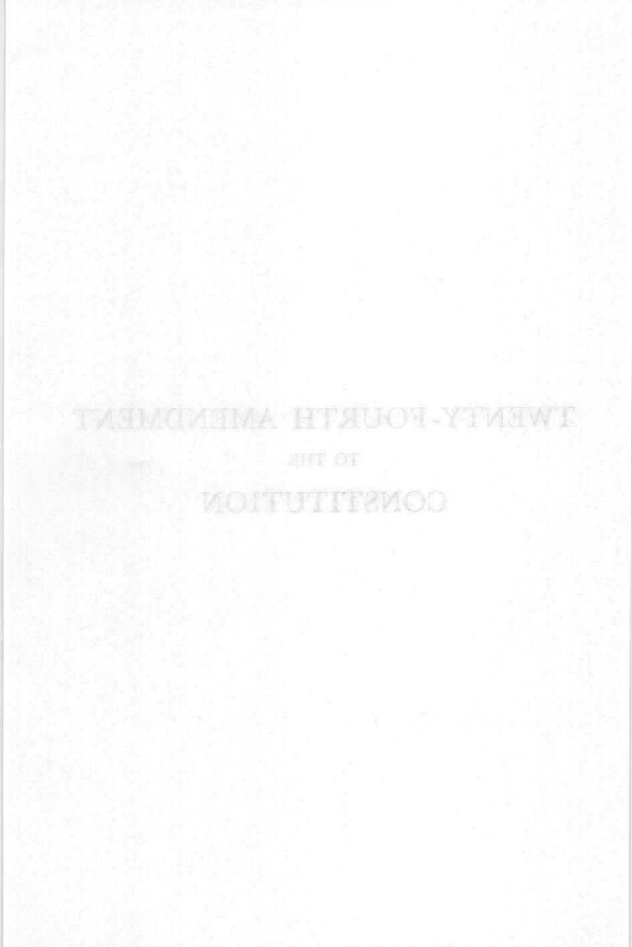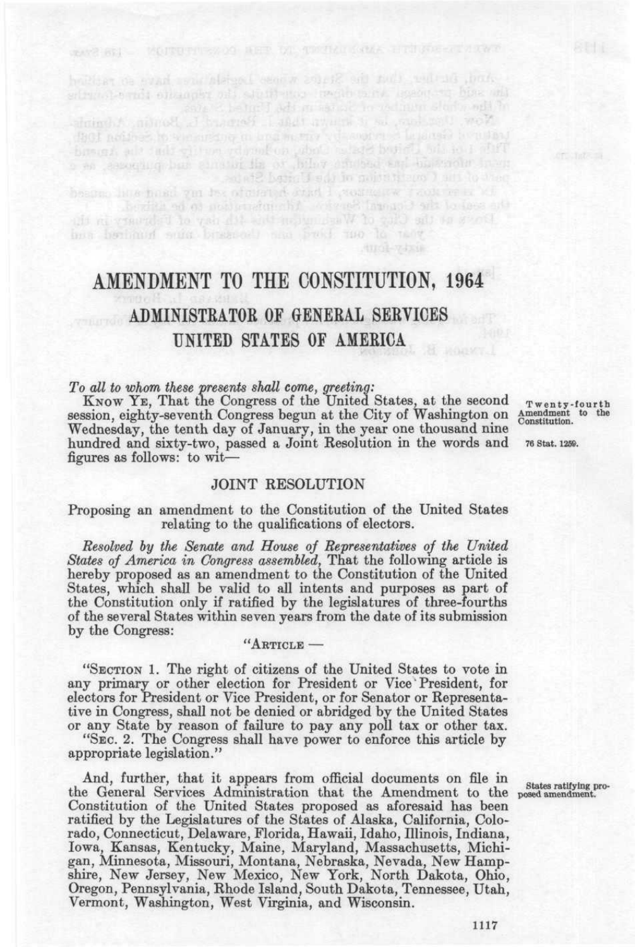# **AMENDMENT TO THE CONSTITUTION, 1964 ADMINI8TEAT0K OF GENEEAL SEEVICES UNITED STATES OF AMEEICA**

throughout the property are the property of the second section that the contribution of the second section of the second terms of the second terms of the second terms of the second terms of the second terms of the second t Yow, Uncolors, lat it known than I. Removed L. Boutin, Administration

The contract of the distribution of the community contract that the contract on a home as as a contract beginning to all the contract on a

be send the Consent Same Minutes and include also had

beams line must ym ter ofmintad annt I recurrence i active er a bil

Form to said City of Washington in the car the part of the standard

has bestimed some brasscoll and built me la nete

## *To all to whom these presents shall come, greeting:*

KNOW YE, That the Congress of the United States, at the second Twenty-fourth<br>ssion, eighty-seventh Congress begun at the City of Washington on Amendment to the session, eighty-seventh Congress begun at the City of Washington on Wednesday, the tenth day of January, in the year one thousand nine hundred and sixty-two, passed a Joint Resolution in the words and 76 Stat. 1259. figures as follows: to wit—

**SHOWAY** 

#### JOINT RESOLUTION

#### Proposing an amendment to the Constitution of the United States relating to the qualifications of electors.

*Resolved by the Senate and House of Representatives oj the United States of America in Congress assembled,* That the following article is hereby proposed as an amendment to the Constitution of the United States, which shall be valid to all intents and purposes as part of the Constitution only if ratified by the legislatures of three-fourths of the several States within seven years from the date of its submission by the Congress:

#### "ARTICLE —

"SECTION 1. The right of citizens of the United States to vote in any primary or other election for President or Vice' President, for electors for President or Vice President, or for Senator or Representative in Congress, shall not be denied or abridged by the United States or any State by reason of failure to pay any poll tax or other tax.

"SEC. 2. The Congress shall have power to enforce this article by appropriate legislation."

And, further, that it appears from official documents on file in the General Services Administration that the Amendment to the posed amendment. Constitution of the United States proposed as aforesaid has been ratified by the Legislatures of the States of Alaska, California, Colorado, Connecticut, Delaware, Florida, Hawaii, Idaho, Illinois, Indiana, Iowa, Kansas, Kentucky, Maine, Maryland, Massachusetts, Michigan, Minnesota, Missouri, Montana, Nebraska, Nevada, New Hampshire, New Jersey, New Mexico, New York, North Dakota, Ohio, Oregon, Pennsylvania, Rhode Island, South Dakota, Tennessee, Utah, Vermont, Washington, West Virginia, and Wisconsin.